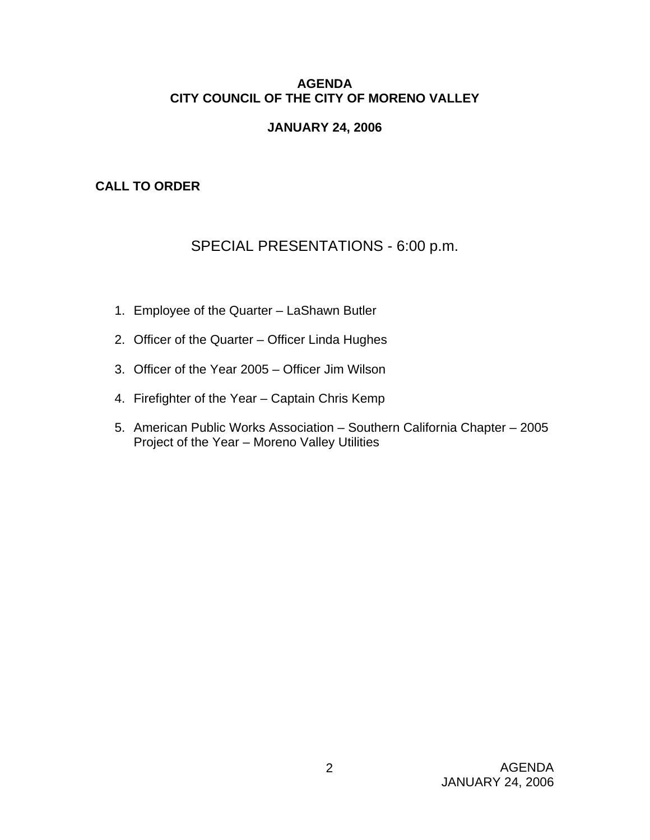# **AGENDA CITY COUNCIL OF THE CITY OF MORENO VALLEY**

# **JANUARY 24, 2006**

# **CALL TO ORDER**

# SPECIAL PRESENTATIONS - 6:00 p.m.

- 1. Employee of the Quarter LaShawn Butler
- 2. Officer of the Quarter Officer Linda Hughes
- 3. Officer of the Year 2005 Officer Jim Wilson
- 4. Firefighter of the Year Captain Chris Kemp
- 5. American Public Works Association Southern California Chapter 2005 Project of the Year – Moreno Valley Utilities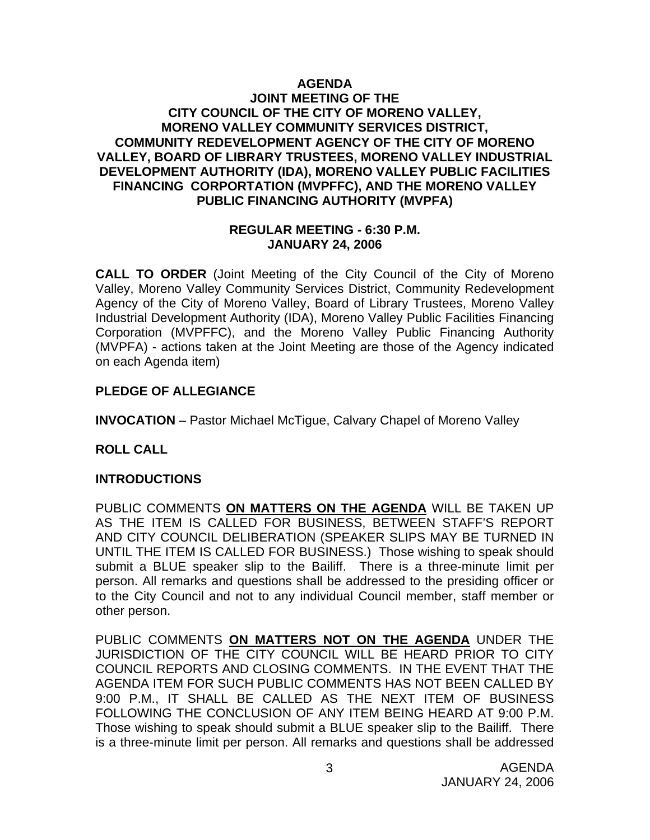# **AGENDA**

### **JOINT MEETING OF THE CITY COUNCIL OF THE CITY OF MORENO VALLEY, MORENO VALLEY COMMUNITY SERVICES DISTRICT, COMMUNITY REDEVELOPMENT AGENCY OF THE CITY OF MORENO VALLEY, BOARD OF LIBRARY TRUSTEES, MORENO VALLEY INDUSTRIAL DEVELOPMENT AUTHORITY (IDA), MORENO VALLEY PUBLIC FACILITIES FINANCING CORPORTATION (MVPFFC), AND THE MORENO VALLEY PUBLIC FINANCING AUTHORITY (MVPFA)**

#### **REGULAR MEETING - 6:30 P.M. JANUARY 24, 2006**

**CALL TO ORDER** (Joint Meeting of the City Council of the City of Moreno Valley, Moreno Valley Community Services District, Community Redevelopment Agency of the City of Moreno Valley, Board of Library Trustees, Moreno Valley Industrial Development Authority (IDA), Moreno Valley Public Facilities Financing Corporation (MVPFFC), and the Moreno Valley Public Financing Authority (MVPFA) - actions taken at the Joint Meeting are those of the Agency indicated on each Agenda item)

# **PLEDGE OF ALLEGIANCE**

**INVOCATION** – Pastor Michael McTigue, Calvary Chapel of Moreno Valley

# **ROLL CALL**

### **INTRODUCTIONS**

PUBLIC COMMENTS **ON MATTERS ON THE AGENDA** WILL BE TAKEN UP AS THE ITEM IS CALLED FOR BUSINESS, BETWEEN STAFF'S REPORT AND CITY COUNCIL DELIBERATION (SPEAKER SLIPS MAY BE TURNED IN UNTIL THE ITEM IS CALLED FOR BUSINESS.) Those wishing to speak should submit a BLUE speaker slip to the Bailiff. There is a three-minute limit per person. All remarks and questions shall be addressed to the presiding officer or to the City Council and not to any individual Council member, staff member or other person.

PUBLIC COMMENTS **ON MATTERS NOT ON THE AGENDA** UNDER THE JURISDICTION OF THE CITY COUNCIL WILL BE HEARD PRIOR TO CITY COUNCIL REPORTS AND CLOSING COMMENTS. IN THE EVENT THAT THE AGENDA ITEM FOR SUCH PUBLIC COMMENTS HAS NOT BEEN CALLED BY 9:00 P.M., IT SHALL BE CALLED AS THE NEXT ITEM OF BUSINESS FOLLOWING THE CONCLUSION OF ANY ITEM BEING HEARD AT 9:00 P.M. Those wishing to speak should submit a BLUE speaker slip to the Bailiff. There is a three-minute limit per person. All remarks and questions shall be addressed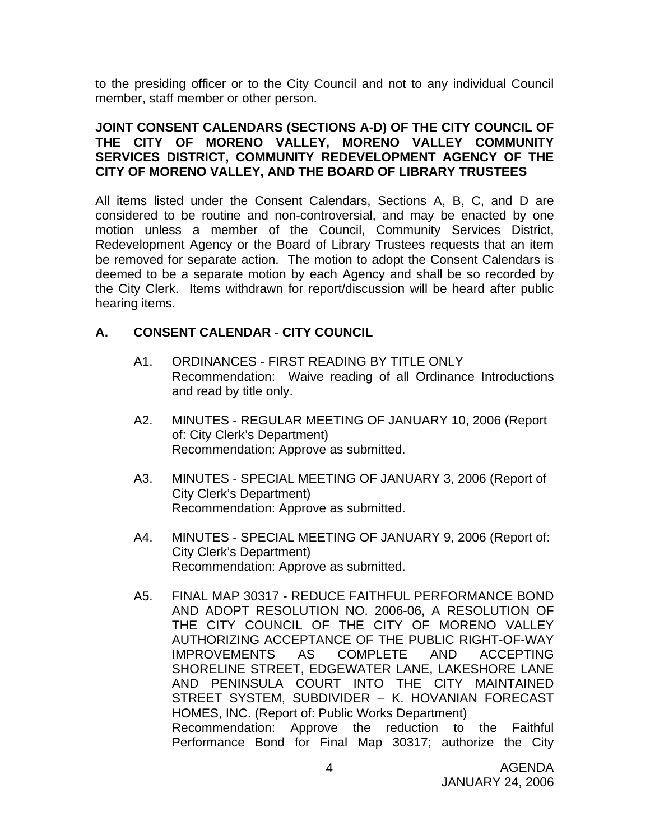to the presiding officer or to the City Council and not to any individual Council member, staff member or other person.

#### **JOINT CONSENT CALENDARS (SECTIONS A-D) OF THE CITY COUNCIL OF THE CITY OF MORENO VALLEY, MORENO VALLEY COMMUNITY SERVICES DISTRICT, COMMUNITY REDEVELOPMENT AGENCY OF THE CITY OF MORENO VALLEY, AND THE BOARD OF LIBRARY TRUSTEES**

All items listed under the Consent Calendars, Sections A, B, C, and D are considered to be routine and non-controversial, and may be enacted by one motion unless a member of the Council, Community Services District, Redevelopment Agency or the Board of Library Trustees requests that an item be removed for separate action. The motion to adopt the Consent Calendars is deemed to be a separate motion by each Agency and shall be so recorded by the City Clerk. Items withdrawn for report/discussion will be heard after public hearing items.

# **A. CONSENT CALENDAR** - **CITY COUNCIL**

- A1. ORDINANCES FIRST READING BY TITLE ONLY Recommendation: Waive reading of all Ordinance Introductions and read by title only.
- A2. MINUTES REGULAR MEETING OF JANUARY 10, 2006 (Report of: City Clerk's Department) Recommendation: Approve as submitted.
- A3. MINUTES SPECIAL MEETING OF JANUARY 3, 2006 (Report of City Clerk's Department) Recommendation: Approve as submitted.
- A4. MINUTES SPECIAL MEETING OF JANUARY 9, 2006 (Report of: City Clerk's Department) Recommendation: Approve as submitted.
- A5. FINAL MAP 30317 REDUCE FAITHFUL PERFORMANCE BOND AND ADOPT RESOLUTION NO. 2006-06, A RESOLUTION OF THE CITY COUNCIL OF THE CITY OF MORENO VALLEY AUTHORIZING ACCEPTANCE OF THE PUBLIC RIGHT-OF-WAY IMPROVEMENTS AS COMPLETE AND ACCEPTING SHORELINE STREET, EDGEWATER LANE, LAKESHORE LANE AND PENINSULA COURT INTO THE CITY MAINTAINED STREET SYSTEM, SUBDIVIDER – K. HOVANIAN FORECAST HOMES, INC. (Report of: Public Works Department) Recommendation: Approve the reduction to the Faithful Performance Bond for Final Map 30317; authorize the City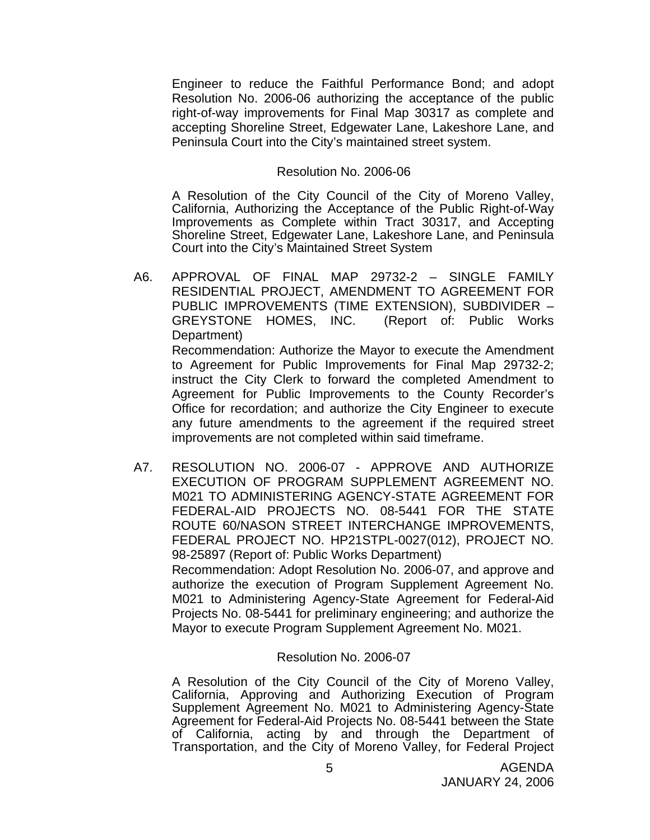Engineer to reduce the Faithful Performance Bond; and adopt Resolution No. 2006-06 authorizing the acceptance of the public right-of-way improvements for Final Map 30317 as complete and accepting Shoreline Street, Edgewater Lane, Lakeshore Lane, and Peninsula Court into the City's maintained street system.

#### Resolution No. 2006-06

 A Resolution of the City Council of the City of Moreno Valley, California, Authorizing the Acceptance of the Public Right-of-Way Improvements as Complete within Tract 30317, and Accepting Shoreline Street, Edgewater Lane, Lakeshore Lane, and Peninsula Court into the City's Maintained Street System

- A6. APPROVAL OF FINAL MAP 29732-2 SINGLE FAMILY RESIDENTIAL PROJECT, AMENDMENT TO AGREEMENT FOR PUBLIC IMPROVEMENTS (TIME EXTENSION), SUBDIVIDER – GREYSTONE HOMES, INC. (Report of: Public Works Department) Recommendation: Authorize the Mayor to execute the Amendment to Agreement for Public Improvements for Final Map 29732-2; instruct the City Clerk to forward the completed Amendment to Agreement for Public Improvements to the County Recorder's Office for recordation; and authorize the City Engineer to execute any future amendments to the agreement if the required street improvements are not completed within said timeframe.
- A7. RESOLUTION NO. 2006-07 APPROVE AND AUTHORIZE EXECUTION OF PROGRAM SUPPLEMENT AGREEMENT NO. M021 TO ADMINISTERING AGENCY-STATE AGREEMENT FOR FEDERAL-AID PROJECTS NO. 08-5441 FOR THE STATE ROUTE 60/NASON STREET INTERCHANGE IMPROVEMENTS, FEDERAL PROJECT NO. HP21STPL-0027(012), PROJECT NO. 98-25897 (Report of: Public Works Department)

 Recommendation: Adopt Resolution No. 2006-07, and approve and authorize the execution of Program Supplement Agreement No. M021 to Administering Agency-State Agreement for Federal-Aid Projects No. 08-5441 for preliminary engineering; and authorize the Mayor to execute Program Supplement Agreement No. M021.

#### Resolution No. 2006-07

 A Resolution of the City Council of the City of Moreno Valley, California, Approving and Authorizing Execution of Program Supplement Agreement No. M021 to Administering Agency-State Agreement for Federal-Aid Projects No. 08-5441 between the State of California, acting by and through the Department of Transportation, and the City of Moreno Valley, for Federal Project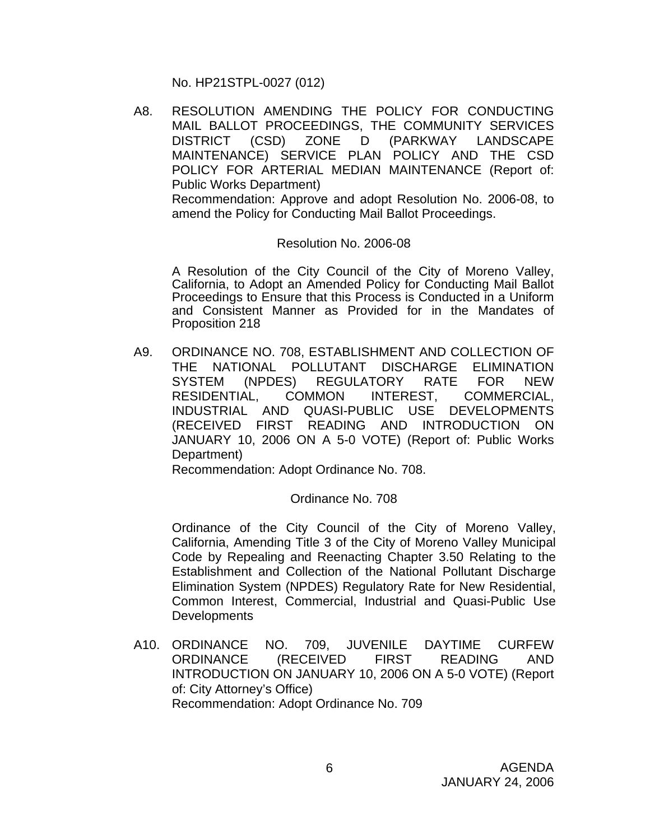No. HP21STPL-0027 (012)

A8. RESOLUTION AMENDING THE POLICY FOR CONDUCTING MAIL BALLOT PROCEEDINGS, THE COMMUNITY SERVICES DISTRICT (CSD) ZONE D (PARKWAY LANDSCAPE MAINTENANCE) SERVICE PLAN POLICY AND THE CSD POLICY FOR ARTERIAL MEDIAN MAINTENANCE (Report of: Public Works Department) Recommendation: Approve and adopt Resolution No. 2006-08, to

amend the Policy for Conducting Mail Ballot Proceedings.

### Resolution No. 2006-08

A Resolution of the City Council of the City of Moreno Valley, California, to Adopt an Amended Policy for Conducting Mail Ballot Proceedings to Ensure that this Process is Conducted in a Uniform and Consistent Manner as Provided for in the Mandates of Proposition 218

A9. ORDINANCE NO. 708, ESTABLISHMENT AND COLLECTION OF THE NATIONAL POLLUTANT DISCHARGE ELIMINATION SYSTEM (NPDES) REGULATORY RATE FOR NEW RESIDENTIAL, COMMON INTEREST, COMMERCIAL, INDUSTRIAL AND QUASI-PUBLIC USE DEVELOPMENTS (RECEIVED FIRST READING AND INTRODUCTION ON JANUARY 10, 2006 ON A 5-0 VOTE) (Report of: Public Works Department)

Recommendation: Adopt Ordinance No. 708.

#### Ordinance No. 708

 Ordinance of the City Council of the City of Moreno Valley, California, Amending Title 3 of the City of Moreno Valley Municipal Code by Repealing and Reenacting Chapter 3.50 Relating to the Establishment and Collection of the National Pollutant Discharge Elimination System (NPDES) Regulatory Rate for New Residential, Common Interest, Commercial, Industrial and Quasi-Public Use **Developments** 

A10. ORDINANCE NO. 709, JUVENILE DAYTIME CURFEW ORDINANCE (RECEIVED FIRST READING AND INTRODUCTION ON JANUARY 10, 2006 ON A 5-0 VOTE) (Report of: City Attorney's Office) Recommendation: Adopt Ordinance No. 709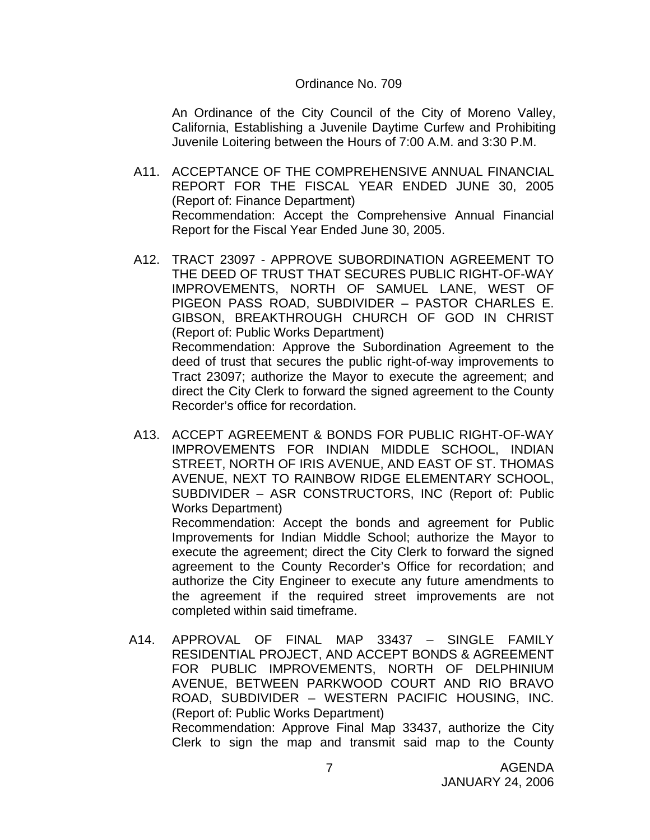#### Ordinance No. 709

 An Ordinance of the City Council of the City of Moreno Valley, California, Establishing a Juvenile Daytime Curfew and Prohibiting Juvenile Loitering between the Hours of 7:00 A.M. and 3:30 P.M.

- A11. ACCEPTANCE OF THE COMPREHENSIVE ANNUAL FINANCIAL REPORT FOR THE FISCAL YEAR ENDED JUNE 30, 2005 (Report of: Finance Department) Recommendation: Accept the Comprehensive Annual Financial Report for the Fiscal Year Ended June 30, 2005.
- A12. TRACT 23097 APPROVE SUBORDINATION AGREEMENT TO THE DEED OF TRUST THAT SECURES PUBLIC RIGHT-OF-WAY IMPROVEMENTS, NORTH OF SAMUEL LANE, WEST OF PIGEON PASS ROAD, SUBDIVIDER – PASTOR CHARLES E. GIBSON, BREAKTHROUGH CHURCH OF GOD IN CHRIST (Report of: Public Works Department) Recommendation: Approve the Subordination Agreement to the deed of trust that secures the public right-of-way improvements to Tract 23097; authorize the Mayor to execute the agreement; and direct the City Clerk to forward the signed agreement to the County Recorder's office for recordation.
- A13. ACCEPT AGREEMENT & BONDS FOR PUBLIC RIGHT-OF-WAY IMPROVEMENTS FOR INDIAN MIDDLE SCHOOL, INDIAN STREET, NORTH OF IRIS AVENUE, AND EAST OF ST. THOMAS AVENUE, NEXT TO RAINBOW RIDGE ELEMENTARY SCHOOL, SUBDIVIDER – ASR CONSTRUCTORS, INC (Report of: Public Works Department)

 Recommendation: Accept the bonds and agreement for Public Improvements for Indian Middle School; authorize the Mayor to execute the agreement; direct the City Clerk to forward the signed agreement to the County Recorder's Office for recordation; and authorize the City Engineer to execute any future amendments to the agreement if the required street improvements are not completed within said timeframe.

A14. APPROVAL OF FINAL MAP 33437 – SINGLE FAMILY RESIDENTIAL PROJECT, AND ACCEPT BONDS & AGREEMENT FOR PUBLIC IMPROVEMENTS, NORTH OF DELPHINIUM AVENUE, BETWEEN PARKWOOD COURT AND RIO BRAVO ROAD, SUBDIVIDER – WESTERN PACIFIC HOUSING, INC. (Report of: Public Works Department) Recommendation: Approve Final Map 33437, authorize the City Clerk to sign the map and transmit said map to the County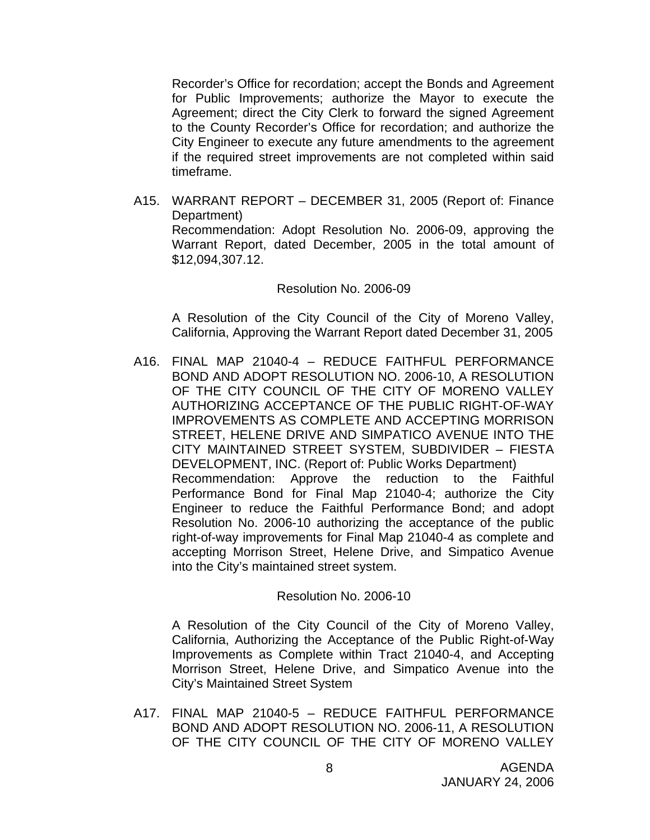Recorder's Office for recordation; accept the Bonds and Agreement for Public Improvements; authorize the Mayor to execute the Agreement; direct the City Clerk to forward the signed Agreement to the County Recorder's Office for recordation; and authorize the City Engineer to execute any future amendments to the agreement if the required street improvements are not completed within said timeframe.

A15. WARRANT REPORT – DECEMBER 31, 2005 (Report of: Finance Department) Recommendation: Adopt Resolution No. 2006-09, approving the Warrant Report, dated December, 2005 in the total amount of \$12,094,307.12.

#### Resolution No. 2006-09

A Resolution of the City Council of the City of Moreno Valley, California, Approving the Warrant Report dated December 31, 2005

A16. FINAL MAP 21040-4 – REDUCE FAITHFUL PERFORMANCE BOND AND ADOPT RESOLUTION NO. 2006-10, A RESOLUTION OF THE CITY COUNCIL OF THE CITY OF MORENO VALLEY AUTHORIZING ACCEPTANCE OF THE PUBLIC RIGHT-OF-WAY IMPROVEMENTS AS COMPLETE AND ACCEPTING MORRISON STREET, HELENE DRIVE AND SIMPATICO AVENUE INTO THE CITY MAINTAINED STREET SYSTEM, SUBDIVIDER – FIESTA DEVELOPMENT, INC. (Report of: Public Works Department) Recommendation: Approve the reduction to the Faithful Performance Bond for Final Map 21040-4; authorize the City Engineer to reduce the Faithful Performance Bond; and adopt Resolution No. 2006-10 authorizing the acceptance of the public right-of-way improvements for Final Map 21040-4 as complete and accepting Morrison Street, Helene Drive, and Simpatico Avenue into the City's maintained street system.

#### Resolution No. 2006-10

A Resolution of the City Council of the City of Moreno Valley, California, Authorizing the Acceptance of the Public Right-of-Way Improvements as Complete within Tract 21040-4, and Accepting Morrison Street, Helene Drive, and Simpatico Avenue into the City's Maintained Street System

A17. FINAL MAP 21040-5 – REDUCE FAITHFUL PERFORMANCE BOND AND ADOPT RESOLUTION NO. 2006-11, A RESOLUTION OF THE CITY COUNCIL OF THE CITY OF MORENO VALLEY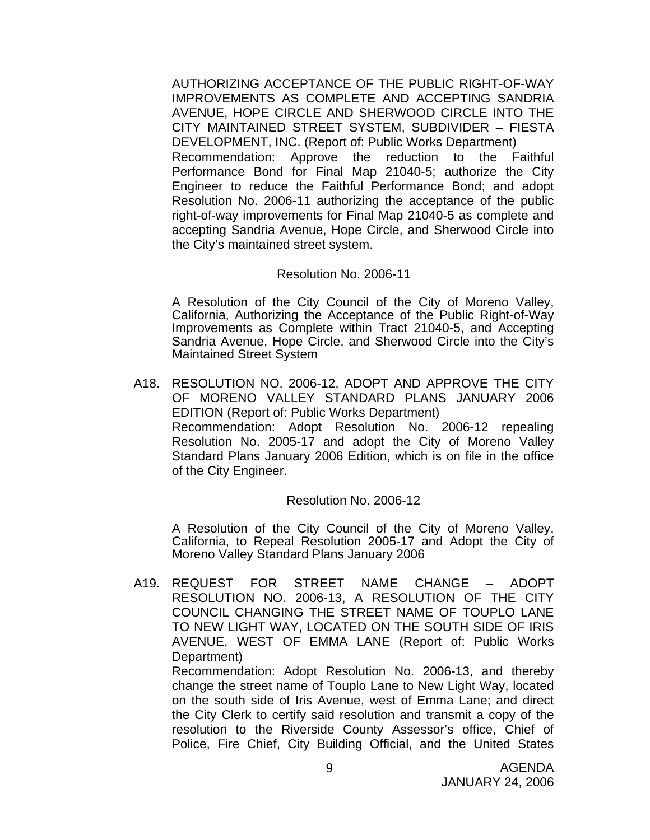AUTHORIZING ACCEPTANCE OF THE PUBLIC RIGHT-OF-WAY IMPROVEMENTS AS COMPLETE AND ACCEPTING SANDRIA AVENUE, HOPE CIRCLE AND SHERWOOD CIRCLE INTO THE CITY MAINTAINED STREET SYSTEM, SUBDIVIDER – FIESTA DEVELOPMENT, INC. (Report of: Public Works Department) Recommendation: Approve the reduction to the Faithful Performance Bond for Final Map 21040-5; authorize the City Engineer to reduce the Faithful Performance Bond; and adopt Resolution No. 2006-11 authorizing the acceptance of the public right-of-way improvements for Final Map 21040-5 as complete and accepting Sandria Avenue, Hope Circle, and Sherwood Circle into the City's maintained street system.

#### Resolution No. 2006-11

 A Resolution of the City Council of the City of Moreno Valley, California, Authorizing the Acceptance of the Public Right-of-Way Improvements as Complete within Tract 21040-5, and Accepting Sandria Avenue, Hope Circle, and Sherwood Circle into the City's Maintained Street System

A18. RESOLUTION NO. 2006-12, ADOPT AND APPROVE THE CITY OF MORENO VALLEY STANDARD PLANS JANUARY 2006 EDITION (Report of: Public Works Department) Recommendation: Adopt Resolution No. 2006-12 repealing Resolution No. 2005-17 and adopt the City of Moreno Valley Standard Plans January 2006 Edition, which is on file in the office of the City Engineer.

#### Resolution No. 2006-12

 A Resolution of the City Council of the City of Moreno Valley, California, to Repeal Resolution 2005-17 and Adopt the City of Moreno Valley Standard Plans January 2006

A19. REQUEST FOR STREET NAME CHANGE – ADOPT RESOLUTION NO. 2006-13, A RESOLUTION OF THE CITY COUNCIL CHANGING THE STREET NAME OF TOUPLO LANE TO NEW LIGHT WAY, LOCATED ON THE SOUTH SIDE OF IRIS AVENUE, WEST OF EMMA LANE (Report of: Public Works Department)

 Recommendation: Adopt Resolution No. 2006-13, and thereby change the street name of Touplo Lane to New Light Way, located on the south side of Iris Avenue, west of Emma Lane; and direct the City Clerk to certify said resolution and transmit a copy of the resolution to the Riverside County Assessor's office, Chief of Police, Fire Chief, City Building Official, and the United States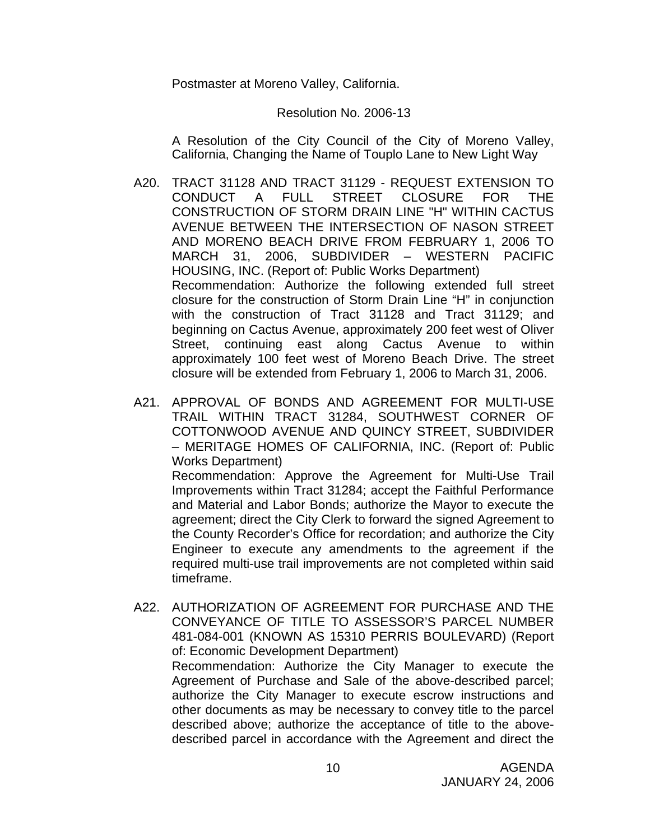Postmaster at Moreno Valley, California.

#### Resolution No. 2006-13

A Resolution of the City Council of the City of Moreno Valley, California, Changing the Name of Touplo Lane to New Light Way

- A20. TRACT 31128 AND TRACT 31129 REQUEST EXTENSION TO CONDUCT A FULL STREET CLOSURE FOR THE CONSTRUCTION OF STORM DRAIN LINE "H" WITHIN CACTUS AVENUE BETWEEN THE INTERSECTION OF NASON STREET AND MORENO BEACH DRIVE FROM FEBRUARY 1, 2006 TO MARCH 31, 2006, SUBDIVIDER – WESTERN PACIFIC HOUSING, INC. (Report of: Public Works Department) Recommendation: Authorize the following extended full street closure for the construction of Storm Drain Line "H" in conjunction with the construction of Tract 31128 and Tract 31129; and beginning on Cactus Avenue, approximately 200 feet west of Oliver Street, continuing east along Cactus Avenue to within approximately 100 feet west of Moreno Beach Drive. The street closure will be extended from February 1, 2006 to March 31, 2006.
- A21. APPROVAL OF BONDS AND AGREEMENT FOR MULTI-USE TRAIL WITHIN TRACT 31284, SOUTHWEST CORNER OF COTTONWOOD AVENUE AND QUINCY STREET, SUBDIVIDER – MERITAGE HOMES OF CALIFORNIA, INC. (Report of: Public Works Department)

 Recommendation: Approve the Agreement for Multi-Use Trail Improvements within Tract 31284; accept the Faithful Performance and Material and Labor Bonds; authorize the Mayor to execute the agreement; direct the City Clerk to forward the signed Agreement to the County Recorder's Office for recordation; and authorize the City Engineer to execute any amendments to the agreement if the required multi-use trail improvements are not completed within said timeframe.

A22. AUTHORIZATION OF AGREEMENT FOR PURCHASE AND THE CONVEYANCE OF TITLE TO ASSESSOR'S PARCEL NUMBER 481-084-001 (KNOWN AS 15310 PERRIS BOULEVARD) (Report of: Economic Development Department)

 Recommendation: Authorize the City Manager to execute the Agreement of Purchase and Sale of the above-described parcel; authorize the City Manager to execute escrow instructions and other documents as may be necessary to convey title to the parcel described above; authorize the acceptance of title to the abovedescribed parcel in accordance with the Agreement and direct the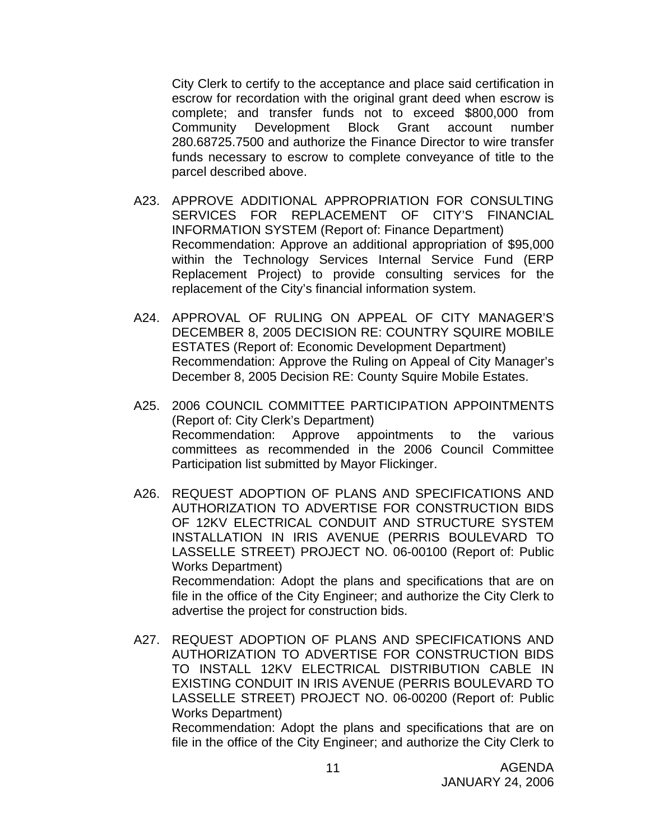City Clerk to certify to the acceptance and place said certification in escrow for recordation with the original grant deed when escrow is complete; and transfer funds not to exceed \$800,000 from Community Development Block Grant account number 280.68725.7500 and authorize the Finance Director to wire transfer funds necessary to escrow to complete conveyance of title to the parcel described above.

- A23. APPROVE ADDITIONAL APPROPRIATION FOR CONSULTING SERVICES FOR REPLACEMENT OF CITY'S FINANCIAL INFORMATION SYSTEM (Report of: Finance Department) Recommendation: Approve an additional appropriation of \$95,000 within the Technology Services Internal Service Fund (ERP Replacement Project) to provide consulting services for the replacement of the City's financial information system.
- A24. APPROVAL OF RULING ON APPEAL OF CITY MANAGER'S DECEMBER 8, 2005 DECISION RE: COUNTRY SQUIRE MOBILE ESTATES (Report of: Economic Development Department) Recommendation: Approve the Ruling on Appeal of City Manager's December 8, 2005 Decision RE: County Squire Mobile Estates.
- A25. 2006 COUNCIL COMMITTEE PARTICIPATION APPOINTMENTS (Report of: City Clerk's Department) Recommendation: Approve appointments to the various committees as recommended in the 2006 Council Committee Participation list submitted by Mayor Flickinger.
- A26. REQUEST ADOPTION OF PLANS AND SPECIFICATIONS AND AUTHORIZATION TO ADVERTISE FOR CONSTRUCTION BIDS OF 12KV ELECTRICAL CONDUIT AND STRUCTURE SYSTEM INSTALLATION IN IRIS AVENUE (PERRIS BOULEVARD TO LASSELLE STREET) PROJECT NO. 06-00100 (Report of: Public Works Department) Recommendation: Adopt the plans and specifications that are on file in the office of the City Engineer; and authorize the City Clerk to advertise the project for construction bids.
- A27. REQUEST ADOPTION OF PLANS AND SPECIFICATIONS AND AUTHORIZATION TO ADVERTISE FOR CONSTRUCTION BIDS TO INSTALL 12KV ELECTRICAL DISTRIBUTION CABLE IN EXISTING CONDUIT IN IRIS AVENUE (PERRIS BOULEVARD TO LASSELLE STREET) PROJECT NO. 06-00200 (Report of: Public Works Department) Recommendation: Adopt the plans and specifications that are on

file in the office of the City Engineer; and authorize the City Clerk to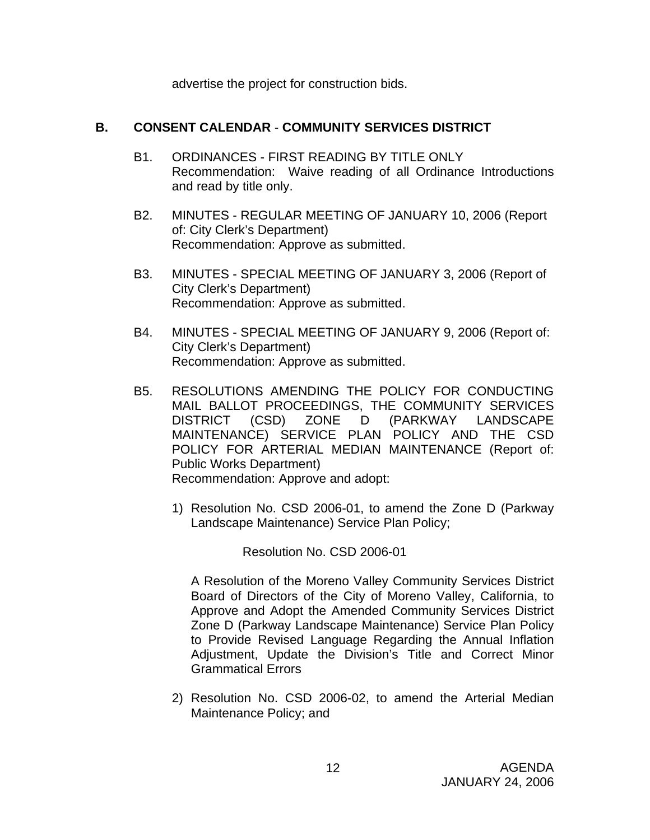advertise the project for construction bids.

# **B. CONSENT CALENDAR** - **COMMUNITY SERVICES DISTRICT**

- B1. ORDINANCES FIRST READING BY TITLE ONLY Recommendation: Waive reading of all Ordinance Introductions and read by title only.
- B2. MINUTES REGULAR MEETING OF JANUARY 10, 2006 (Report of: City Clerk's Department) Recommendation: Approve as submitted.
- B3. MINUTES SPECIAL MEETING OF JANUARY 3, 2006 (Report of City Clerk's Department) Recommendation: Approve as submitted.
- B4. MINUTES SPECIAL MEETING OF JANUARY 9, 2006 (Report of: City Clerk's Department) Recommendation: Approve as submitted.
- B5. RESOLUTIONS AMENDING THE POLICY FOR CONDUCTING MAIL BALLOT PROCEEDINGS, THE COMMUNITY SERVICES DISTRICT (CSD) ZONE D (PARKWAY LANDSCAPE MAINTENANCE) SERVICE PLAN POLICY AND THE CSD POLICY FOR ARTERIAL MEDIAN MAINTENANCE (Report of: Public Works Department) Recommendation: Approve and adopt:
	- 1) Resolution No. CSD 2006-01, to amend the Zone D (Parkway Landscape Maintenance) Service Plan Policy;

Resolution No. CSD 2006-01

A Resolution of the Moreno Valley Community Services District Board of Directors of the City of Moreno Valley, California, to Approve and Adopt the Amended Community Services District Zone D (Parkway Landscape Maintenance) Service Plan Policy to Provide Revised Language Regarding the Annual Inflation Adjustment, Update the Division's Title and Correct Minor Grammatical Errors

2) Resolution No. CSD 2006-02, to amend the Arterial Median Maintenance Policy; and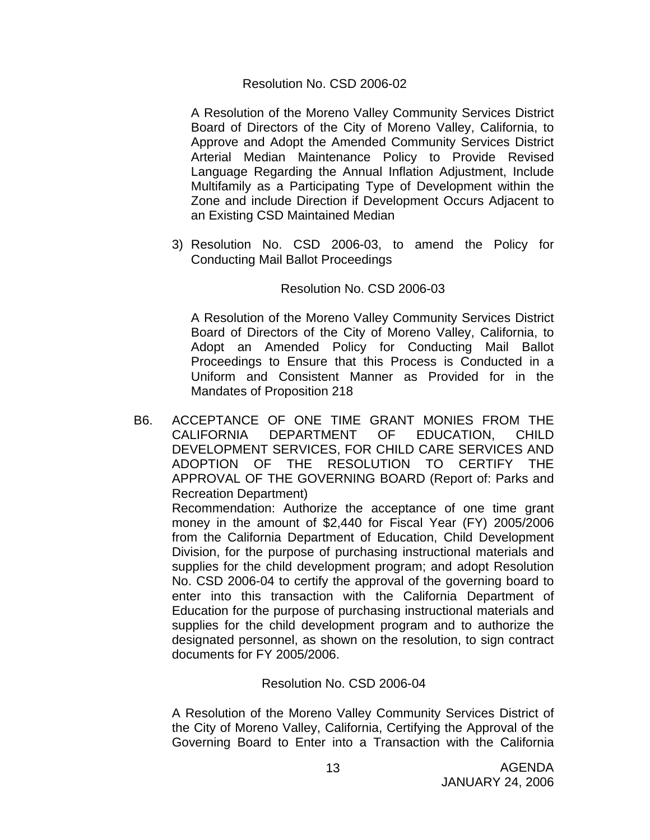#### Resolution No. CSD 2006-02

 A Resolution of the Moreno Valley Community Services District Board of Directors of the City of Moreno Valley, California, to Approve and Adopt the Amended Community Services District Arterial Median Maintenance Policy to Provide Revised Language Regarding the Annual Inflation Adjustment, Include Multifamily as a Participating Type of Development within the Zone and include Direction if Development Occurs Adjacent to an Existing CSD Maintained Median

3) Resolution No. CSD 2006-03, to amend the Policy for Conducting Mail Ballot Proceedings

#### Resolution No. CSD 2006-03

A Resolution of the Moreno Valley Community Services District Board of Directors of the City of Moreno Valley, California, to Adopt an Amended Policy for Conducting Mail Ballot Proceedings to Ensure that this Process is Conducted in a Uniform and Consistent Manner as Provided for in the Mandates of Proposition 218

B6. ACCEPTANCE OF ONE TIME GRANT MONIES FROM THE CALIFORNIA DEPARTMENT OF EDUCATION, CHILD DEVELOPMENT SERVICES, FOR CHILD CARE SERVICES AND ADOPTION OF THE RESOLUTION TO CERTIFY THE APPROVAL OF THE GOVERNING BOARD (Report of: Parks and Recreation Department)

 Recommendation: Authorize the acceptance of one time grant money in the amount of \$2,440 for Fiscal Year (FY) 2005/2006 from the California Department of Education, Child Development Division, for the purpose of purchasing instructional materials and supplies for the child development program; and adopt Resolution No. CSD 2006-04 to certify the approval of the governing board to enter into this transaction with the California Department of Education for the purpose of purchasing instructional materials and supplies for the child development program and to authorize the designated personnel, as shown on the resolution, to sign contract documents for FY 2005/2006.

#### Resolution No. CSD 2006-04

A Resolution of the Moreno Valley Community Services District of the City of Moreno Valley, California, Certifying the Approval of the Governing Board to Enter into a Transaction with the California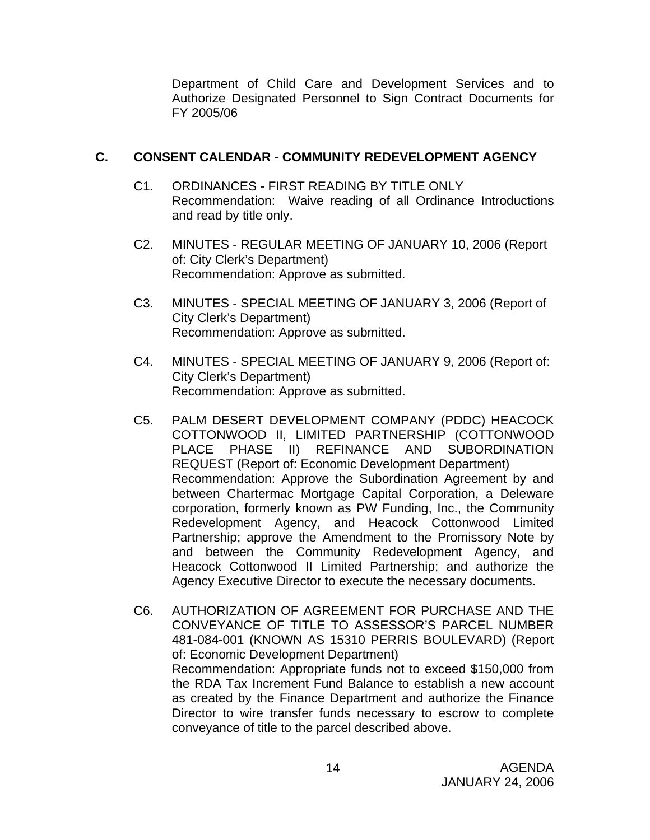Department of Child Care and Development Services and to Authorize Designated Personnel to Sign Contract Documents for FY 2005/06

# **C. CONSENT CALENDAR** - **COMMUNITY REDEVELOPMENT AGENCY**

- C1. ORDINANCES FIRST READING BY TITLE ONLY Recommendation: Waive reading of all Ordinance Introductions and read by title only.
- C2. MINUTES REGULAR MEETING OF JANUARY 10, 2006 (Report of: City Clerk's Department) Recommendation: Approve as submitted.
- C3. MINUTES SPECIAL MEETING OF JANUARY 3, 2006 (Report of City Clerk's Department) Recommendation: Approve as submitted.
- C4. MINUTES SPECIAL MEETING OF JANUARY 9, 2006 (Report of: City Clerk's Department) Recommendation: Approve as submitted.
- C5. PALM DESERT DEVELOPMENT COMPANY (PDDC) HEACOCK COTTONWOOD II, LIMITED PARTNERSHIP (COTTONWOOD PLACE PHASE II) REFINANCE AND SUBORDINATION REQUEST (Report of: Economic Development Department) Recommendation: Approve the Subordination Agreement by and between Chartermac Mortgage Capital Corporation, a Deleware corporation, formerly known as PW Funding, Inc., the Community Redevelopment Agency, and Heacock Cottonwood Limited Partnership; approve the Amendment to the Promissory Note by and between the Community Redevelopment Agency, and Heacock Cottonwood II Limited Partnership; and authorize the Agency Executive Director to execute the necessary documents.
- C6. AUTHORIZATION OF AGREEMENT FOR PURCHASE AND THE CONVEYANCE OF TITLE TO ASSESSOR'S PARCEL NUMBER 481-084-001 (KNOWN AS 15310 PERRIS BOULEVARD) (Report of: Economic Development Department) Recommendation: Appropriate funds not to exceed \$150,000 from the RDA Tax Increment Fund Balance to establish a new account as created by the Finance Department and authorize the Finance Director to wire transfer funds necessary to escrow to complete conveyance of title to the parcel described above.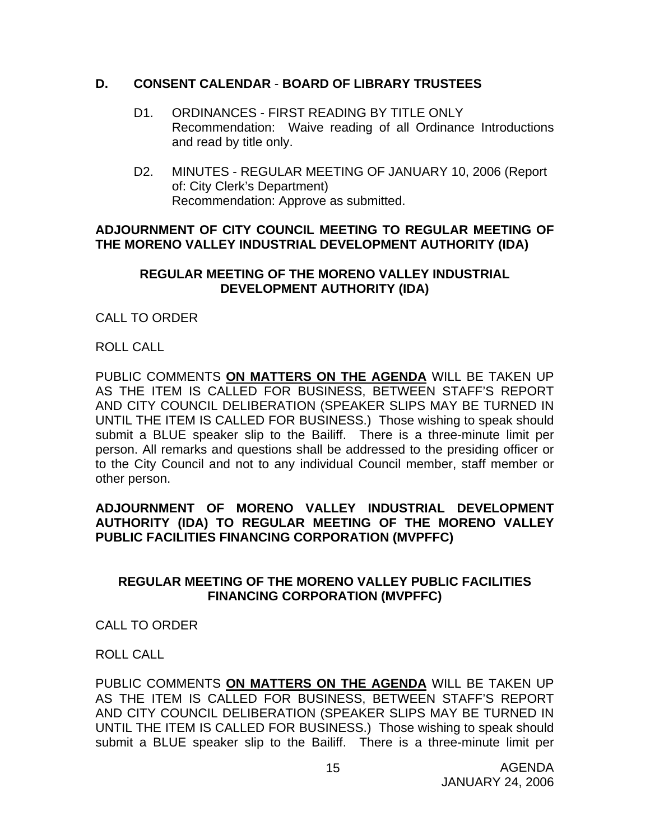### **D. CONSENT CALENDAR** - **BOARD OF LIBRARY TRUSTEES**

- D1. ORDINANCES FIRST READING BY TITLE ONLY Recommendation: Waive reading of all Ordinance Introductions and read by title only.
- D2.MINUTES REGULAR MEETING OF JANUARY 10, 2006 (Report of: City Clerk's Department) Recommendation: Approve as submitted.

#### **ADJOURNMENT OF CITY COUNCIL MEETING TO REGULAR MEETING OF THE MORENO VALLEY INDUSTRIAL DEVELOPMENT AUTHORITY (IDA)**

#### **REGULAR MEETING OF THE MORENO VALLEY INDUSTRIAL DEVELOPMENT AUTHORITY (IDA)**

# CALL TO ORDER

### ROLL CALL

PUBLIC COMMENTS **ON MATTERS ON THE AGENDA** WILL BE TAKEN UP AS THE ITEM IS CALLED FOR BUSINESS, BETWEEN STAFF'S REPORT AND CITY COUNCIL DELIBERATION (SPEAKER SLIPS MAY BE TURNED IN UNTIL THE ITEM IS CALLED FOR BUSINESS.) Those wishing to speak should submit a BLUE speaker slip to the Bailiff. There is a three-minute limit per person. All remarks and questions shall be addressed to the presiding officer or to the City Council and not to any individual Council member, staff member or other person.

## **ADJOURNMENT OF MORENO VALLEY INDUSTRIAL DEVELOPMENT AUTHORITY (IDA) TO REGULAR MEETING OF THE MORENO VALLEY PUBLIC FACILITIES FINANCING CORPORATION (MVPFFC)**

# **REGULAR MEETING OF THE MORENO VALLEY PUBLIC FACILITIES FINANCING CORPORATION (MVPFFC)**

### CALL TO ORDER

# ROLL CALL

PUBLIC COMMENTS **ON MATTERS ON THE AGENDA** WILL BE TAKEN UP AS THE ITEM IS CALLED FOR BUSINESS, BETWEEN STAFF'S REPORT AND CITY COUNCIL DELIBERATION (SPEAKER SLIPS MAY BE TURNED IN UNTIL THE ITEM IS CALLED FOR BUSINESS.) Those wishing to speak should submit a BLUE speaker slip to the Bailiff. There is a three-minute limit per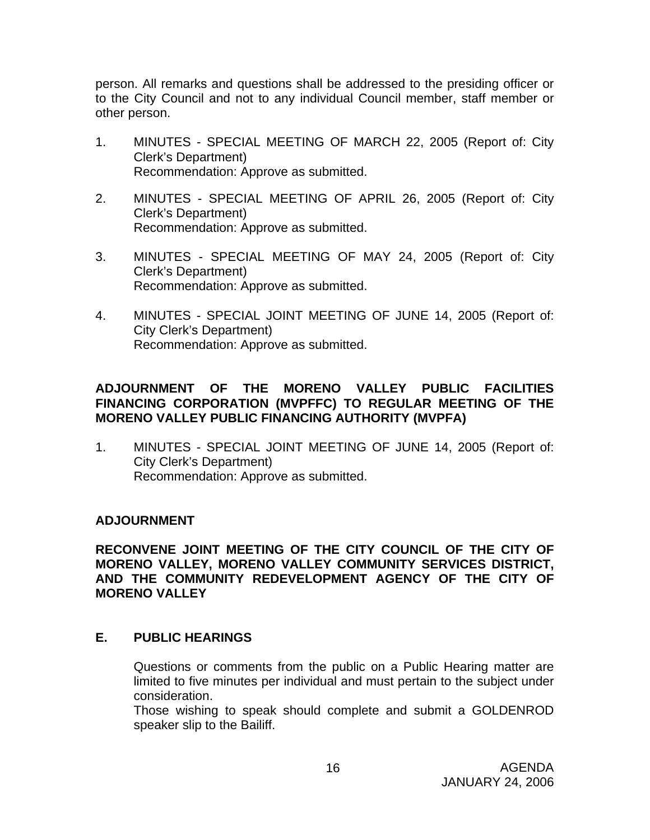person. All remarks and questions shall be addressed to the presiding officer or to the City Council and not to any individual Council member, staff member or other person.

- 1. MINUTES SPECIAL MEETING OF MARCH 22, 2005 (Report of: City Clerk's Department) Recommendation: Approve as submitted.
- 2. MINUTES SPECIAL MEETING OF APRIL 26, 2005 (Report of: City Clerk's Department) Recommendation: Approve as submitted.
- 3. MINUTES SPECIAL MEETING OF MAY 24, 2005 (Report of: City Clerk's Department) Recommendation: Approve as submitted.
- 4. MINUTES SPECIAL JOINT MEETING OF JUNE 14, 2005 (Report of: City Clerk's Department) Recommendation: Approve as submitted.

# **ADJOURNMENT OF THE MORENO VALLEY PUBLIC FACILITIES FINANCING CORPORATION (MVPFFC) TO REGULAR MEETING OF THE MORENO VALLEY PUBLIC FINANCING AUTHORITY (MVPFA)**

1. MINUTES - SPECIAL JOINT MEETING OF JUNE 14, 2005 (Report of: City Clerk's Department) Recommendation: Approve as submitted.

# **ADJOURNMENT**

**RECONVENE JOINT MEETING OF THE CITY COUNCIL OF THE CITY OF MORENO VALLEY, MORENO VALLEY COMMUNITY SERVICES DISTRICT, AND THE COMMUNITY REDEVELOPMENT AGENCY OF THE CITY OF MORENO VALLEY** 

# **E. PUBLIC HEARINGS**

Questions or comments from the public on a Public Hearing matter are limited to five minutes per individual and must pertain to the subject under consideration.

 Those wishing to speak should complete and submit a GOLDENROD speaker slip to the Bailiff.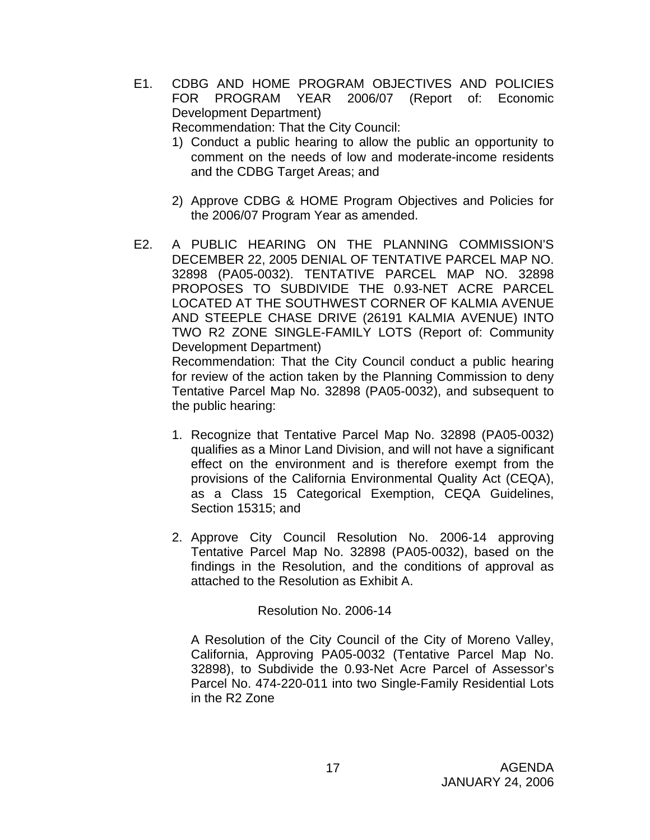E1. CDBG AND HOME PROGRAM OBJECTIVES AND POLICIES FOR PROGRAM YEAR 2006/07 (Report of: Economic Development Department)

Recommendation: That the City Council:

- 1) Conduct a public hearing to allow the public an opportunity to comment on the needs of low and moderate-income residents and the CDBG Target Areas; and
- 2) Approve CDBG & HOME Program Objectives and Policies for the 2006/07 Program Year as amended.
- E2. A PUBLIC HEARING ON THE PLANNING COMMISSION'S DECEMBER 22, 2005 DENIAL OF TENTATIVE PARCEL MAP NO. 32898 (PA05-0032). TENTATIVE PARCEL MAP NO. 32898 PROPOSES TO SUBDIVIDE THE 0.93-NET ACRE PARCEL LOCATED AT THE SOUTHWEST CORNER OF KALMIA AVENUE AND STEEPLE CHASE DRIVE (26191 KALMIA AVENUE) INTO TWO R2 ZONE SINGLE-FAMILY LOTS (Report of: Community Development Department)

 Recommendation: That the City Council conduct a public hearing for review of the action taken by the Planning Commission to deny Tentative Parcel Map No. 32898 (PA05-0032), and subsequent to the public hearing:

- 1. Recognize that Tentative Parcel Map No. 32898 (PA05-0032) qualifies as a Minor Land Division, and will not have a significant effect on the environment and is therefore exempt from the provisions of the California Environmental Quality Act (CEQA), as a Class 15 Categorical Exemption, CEQA Guidelines, Section 15315; and
- 2. Approve City Council Resolution No. 2006-14 approving Tentative Parcel Map No. 32898 (PA05-0032), based on the findings in the Resolution, and the conditions of approval as attached to the Resolution as Exhibit A.

Resolution No. 2006-14

A Resolution of the City Council of the City of Moreno Valley, California, Approving PA05-0032 (Tentative Parcel Map No. 32898), to Subdivide the 0.93-Net Acre Parcel of Assessor's Parcel No. 474-220-011 into two Single-Family Residential Lots in the R2 Zone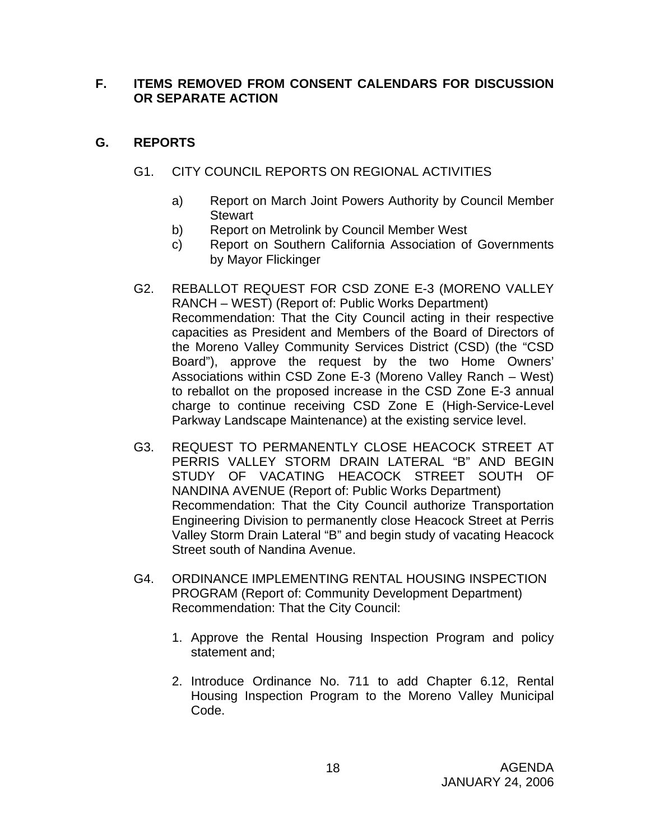# **F. ITEMS REMOVED FROM CONSENT CALENDARS FOR DISCUSSION OR SEPARATE ACTION**

# **G. REPORTS**

- G1. CITY COUNCIL REPORTS ON REGIONAL ACTIVITIES
	- a) Report on March Joint Powers Authority by Council Member **Stewart**
	- b) Report on Metrolink by Council Member West
	- c) Report on Southern California Association of Governments by Mayor Flickinger
- G2. REBALLOT REQUEST FOR CSD ZONE E-3 (MORENO VALLEY RANCH – WEST) (Report of: Public Works Department) Recommendation: That the City Council acting in their respective capacities as President and Members of the Board of Directors of the Moreno Valley Community Services District (CSD) (the "CSD Board"), approve the request by the two Home Owners' Associations within CSD Zone E-3 (Moreno Valley Ranch – West) to reballot on the proposed increase in the CSD Zone E-3 annual charge to continue receiving CSD Zone E (High-Service-Level Parkway Landscape Maintenance) at the existing service level.
- G3. REQUEST TO PERMANENTLY CLOSE HEACOCK STREET AT PERRIS VALLEY STORM DRAIN LATERAL "B" AND BEGIN STUDY OF VACATING HEACOCK STREET SOUTH OF NANDINA AVENUE (Report of: Public Works Department) Recommendation: That the City Council authorize Transportation Engineering Division to permanently close Heacock Street at Perris Valley Storm Drain Lateral "B" and begin study of vacating Heacock Street south of Nandina Avenue.
- G4. ORDINANCE IMPLEMENTING RENTAL HOUSING INSPECTION PROGRAM (Report of: Community Development Department) Recommendation: That the City Council:
	- 1. Approve the Rental Housing Inspection Program and policy statement and;
	- 2. Introduce Ordinance No. 711 to add Chapter 6.12, Rental Housing Inspection Program to the Moreno Valley Municipal Code.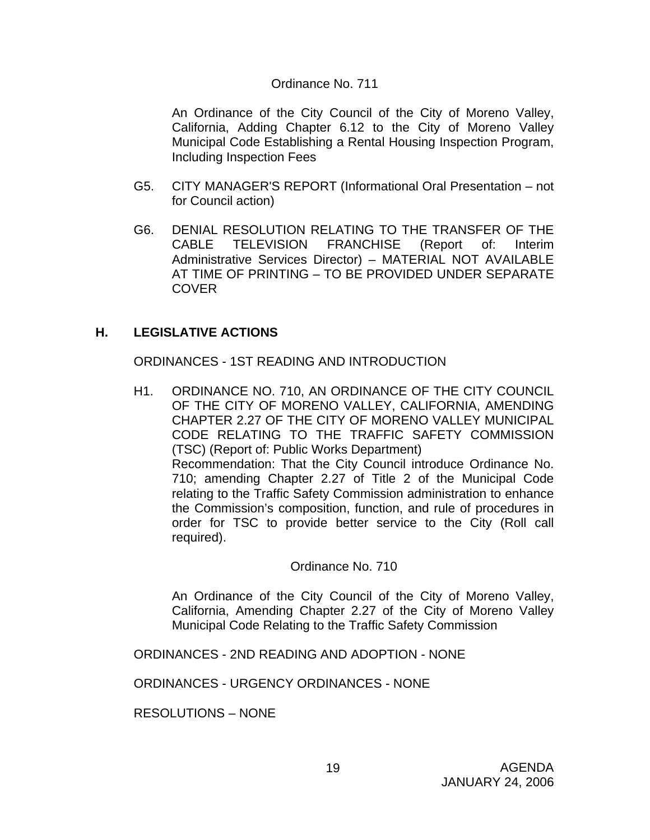#### Ordinance No. 711

 An Ordinance of the City Council of the City of Moreno Valley, California, Adding Chapter 6.12 to the City of Moreno Valley Municipal Code Establishing a Rental Housing Inspection Program, Including Inspection Fees

- G5. CITY MANAGER'S REPORT (Informational Oral Presentation not for Council action)
- G6. DENIAL RESOLUTION RELATING TO THE TRANSFER OF THE CABLE TELEVISION FRANCHISE (Report of: Interim Administrative Services Director) – MATERIAL NOT AVAILABLE AT TIME OF PRINTING – TO BE PROVIDED UNDER SEPARATE COVER

# **H. LEGISLATIVE ACTIONS**

ORDINANCES - 1ST READING AND INTRODUCTION

H1. ORDINANCE NO. 710, AN ORDINANCE OF THE CITY COUNCIL OF THE CITY OF MORENO VALLEY, CALIFORNIA, AMENDING CHAPTER 2.27 OF THE CITY OF MORENO VALLEY MUNICIPAL CODE RELATING TO THE TRAFFIC SAFETY COMMISSION (TSC) (Report of: Public Works Department) Recommendation: That the City Council introduce Ordinance No. 710; amending Chapter 2.27 of Title 2 of the Municipal Code relating to the Traffic Safety Commission administration to enhance the Commission's composition, function, and rule of procedures in order for TSC to provide better service to the City (Roll call required).

#### Ordinance No. 710

 An Ordinance of the City Council of the City of Moreno Valley, California, Amending Chapter 2.27 of the City of Moreno Valley Municipal Code Relating to the Traffic Safety Commission

ORDINANCES - 2ND READING AND ADOPTION - NONE

ORDINANCES - URGENCY ORDINANCES - NONE

RESOLUTIONS – NONE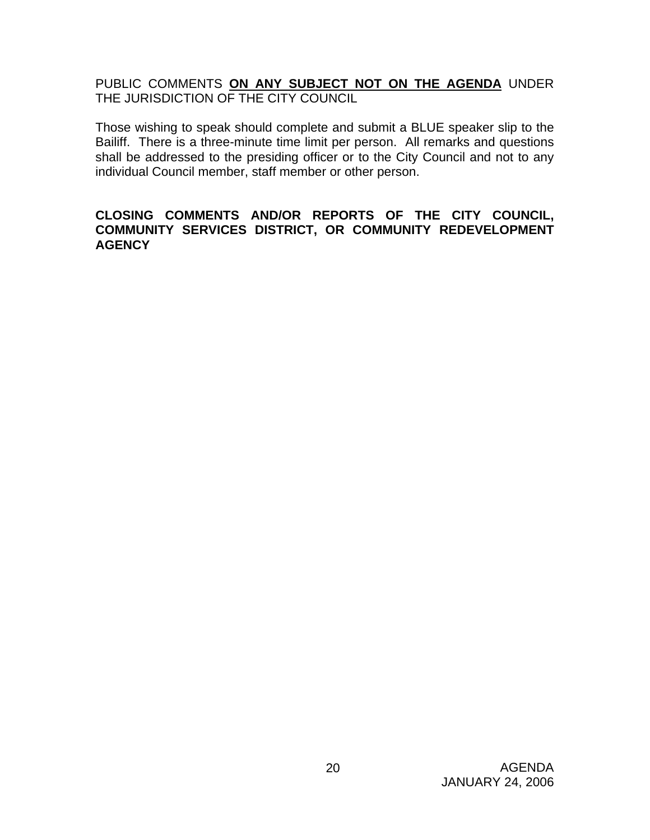PUBLIC COMMENTS **ON ANY SUBJECT NOT ON THE AGENDA** UNDER THE JURISDICTION OF THE CITY COUNCIL

Those wishing to speak should complete and submit a BLUE speaker slip to the Bailiff. There is a three-minute time limit per person. All remarks and questions shall be addressed to the presiding officer or to the City Council and not to any individual Council member, staff member or other person.

### **CLOSING COMMENTS AND/OR REPORTS OF THE CITY COUNCIL, COMMUNITY SERVICES DISTRICT, OR COMMUNITY REDEVELOPMENT AGENCY**